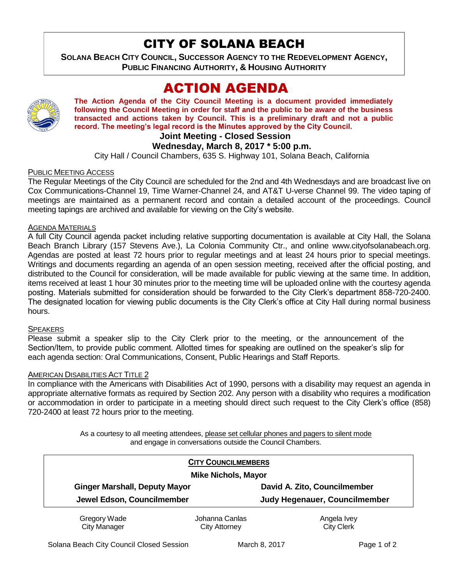# CITY OF SOLANA BEACH

**SOLANA BEACH CITY COUNCIL, SUCCESSOR AGENCY TO THE REDEVELOPMENT AGENCY, PUBLIC FINANCING AUTHORITY, & HOUSING AUTHORITY** 

# ACTION AGENDA



**The Action Agenda of the City Council Meeting is a document provided immediately following the Council Meeting in order for staff and the public to be aware of the business transacted and actions taken by Council. This is a preliminary draft and not a public record. The meeting's legal record is the Minutes approved by the City Council.**

# **Joint Meeting - Closed Session**

## **Wednesday, March 8, 2017 \* 5:00 p.m.**

City Hall / Council Chambers, 635 S. Highway 101, Solana Beach, California

## PUBLIC MEETING ACCESS

The Regular Meetings of the City Council are scheduled for the 2nd and 4th Wednesdays and are broadcast live on Cox Communications-Channel 19, Time Warner-Channel 24, and AT&T U-verse Channel 99. The video taping of meetings are maintained as a permanent record and contain a detailed account of the proceedings. Council meeting tapings are archived and available for viewing on the City's website.

### AGENDA MATERIALS

A full City Council agenda packet including relative supporting documentation is available at City Hall, the Solana Beach Branch Library (157 Stevens Ave.), La Colonia Community Ctr., and online www.cityofsolanabeach.org. Agendas are posted at least 72 hours prior to regular meetings and at least 24 hours prior to special meetings. Writings and documents regarding an agenda of an open session meeting, received after the official posting, and distributed to the Council for consideration, will be made available for public viewing at the same time. In addition, items received at least 1 hour 30 minutes prior to the meeting time will be uploaded online with the courtesy agenda posting. Materials submitted for consideration should be forwarded to the City Clerk's department 858-720-2400. The designated location for viewing public documents is the City Clerk's office at City Hall during normal business hours.

#### **SPEAKERS**

Please submit a speaker slip to the City Clerk prior to the meeting, or the announcement of the Section/Item, to provide public comment. Allotted times for speaking are outlined on the speaker's slip for each agenda section: Oral Communications, Consent, Public Hearings and Staff Reports.

#### AMERICAN DISABILITIES ACT TITLE 2

In compliance with the Americans with Disabilities Act of 1990, persons with a disability may request an agenda in appropriate alternative formats as required by Section 202. Any person with a disability who requires a modification or accommodation in order to participate in a meeting should direct such request to the City Clerk's office (858) 720-2400 at least 72 hours prior to the meeting.

> As a courtesy to all meeting attendees, please set cellular phones and pagers to silent mode and engage in conversations outside the Council Chambers.

|                                      | <b>CITY COUNCILMEMBERS</b> |                               |
|--------------------------------------|----------------------------|-------------------------------|
| <b>Mike Nichols, Mayor</b>           |                            |                               |
| <b>Ginger Marshall, Deputy Mayor</b> |                            | David A. Zito, Councilmember  |
| Jewel Edson, Councilmember           |                            | Judy Hegenauer, Councilmember |
| Gregory Wade                         | Johanna Canlas             | Angela Ivey                   |
| <b>City Manager</b>                  | City Attorney              | <b>City Clerk</b>             |